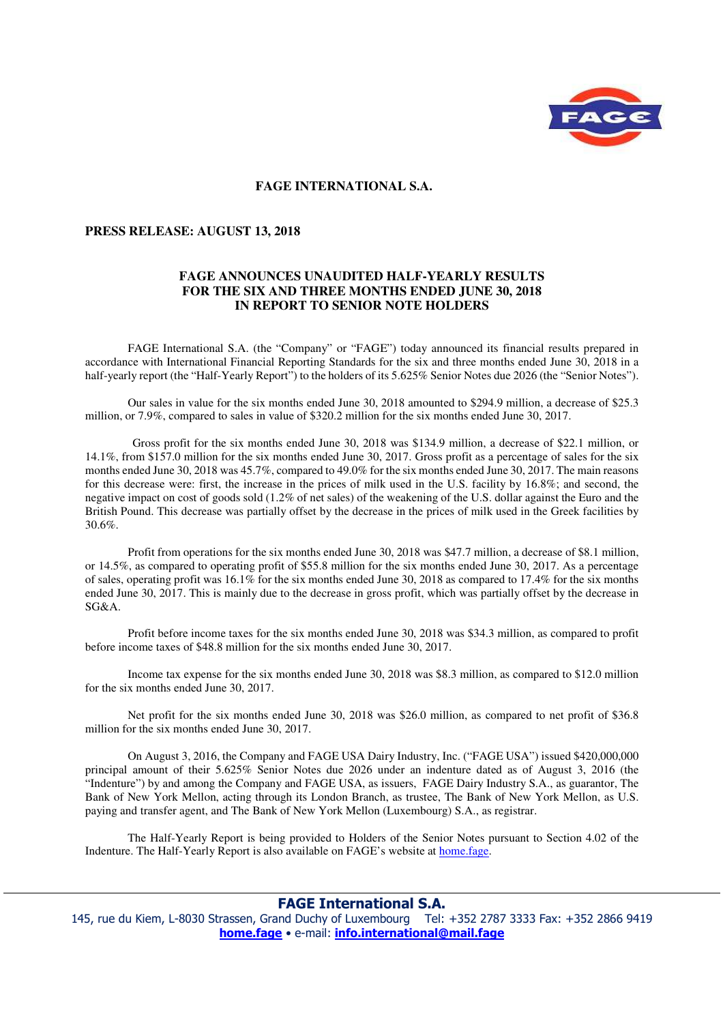

## **FAGE INTERNATIONAL S.A.**

## **PRESS RELEASE: AUGUST 13, 2018**

## **FAGE ANNOUNCES UNAUDITED HALF-YEARLY RESULTS FOR THE SIX AND THREE MONTHS ENDED JUNE 30, 2018 IN REPORT TO SENIOR NOTE HOLDERS**

FAGE International S.A. (the "Company" or "FAGE") today announced its financial results prepared in accordance with International Financial Reporting Standards for the six and three months ended June 30, 2018 in a half-yearly report (the "Half-Yearly Report") to the holders of its 5.625% Senior Notes due 2026 (the "Senior Notes").

 Our sales in value for the six months ended June 30, 2018 amounted to \$294.9 million, a decrease of \$25.3 million, or 7.9%, compared to sales in value of \$320.2 million for the six months ended June 30, 2017.

 Gross profit for the six months ended June 30, 2018 was \$134.9 million, a decrease of \$22.1 million, or 14.1%, from \$157.0 million for the six months ended June 30, 2017. Gross profit as a percentage of sales for the six months ended June 30, 2018 was 45.7%, compared to 49.0% for the six months ended June 30, 2017. The main reasons for this decrease were: first, the increase in the prices of milk used in the U.S. facility by 16.8%; and second, the negative impact on cost of goods sold (1.2% of net sales) of the weakening of the U.S. dollar against the Euro and the British Pound. This decrease was partially offset by the decrease in the prices of milk used in the Greek facilities by 30.6%.

 Profit from operations for the six months ended June 30, 2018 was \$47.7 million, a decrease of \$8.1 million, or 14.5%, as compared to operating profit of \$55.8 million for the six months ended June 30, 2017. As a percentage of sales, operating profit was 16.1% for the six months ended June 30, 2018 as compared to 17.4% for the six months ended June 30, 2017. This is mainly due to the decrease in gross profit, which was partially offset by the decrease in SG&A.

 Profit before income taxes for the six months ended June 30, 2018 was \$34.3 million, as compared to profit before income taxes of \$48.8 million for the six months ended June 30, 2017.

 Income tax expense for the six months ended June 30, 2018 was \$8.3 million, as compared to \$12.0 million for the six months ended June 30, 2017.

Net profit for the six months ended June 30, 2018 was \$26.0 million, as compared to net profit of \$36.8 million for the six months ended June 30, 2017.

 On August 3, 2016, the Company and FAGE USA Dairy Industry, Inc. ("FAGE USA") issued \$420,000,000 principal amount of their 5.625% Senior Notes due 2026 under an indenture dated as of August 3, 2016 (the "Indenture") by and among the Company and FAGE USA, as issuers, FAGE Dairy Industry S.A., as guarantor, The Bank of New York Mellon, acting through its London Branch, as trustee, The Bank of New York Mellon, as U.S. paying and transfer agent, and The Bank of New York Mellon (Luxembourg) S.A., as registrar.

 The Half-Yearly Report is being provided to Holders of the Senior Notes pursuant to Section 4.02 of the Indenture. The Half-Yearly Report is also available on FAGE's website at home.fage.

## **FAGE International S.A.**

145, rue du Kiem, L-8030 Strassen, Grand Duchy of Luxembourg Tel: +352 2787 3333 Fax: +352 2866 9419 **home.fage** • e-mail: **info.international@mail.fage**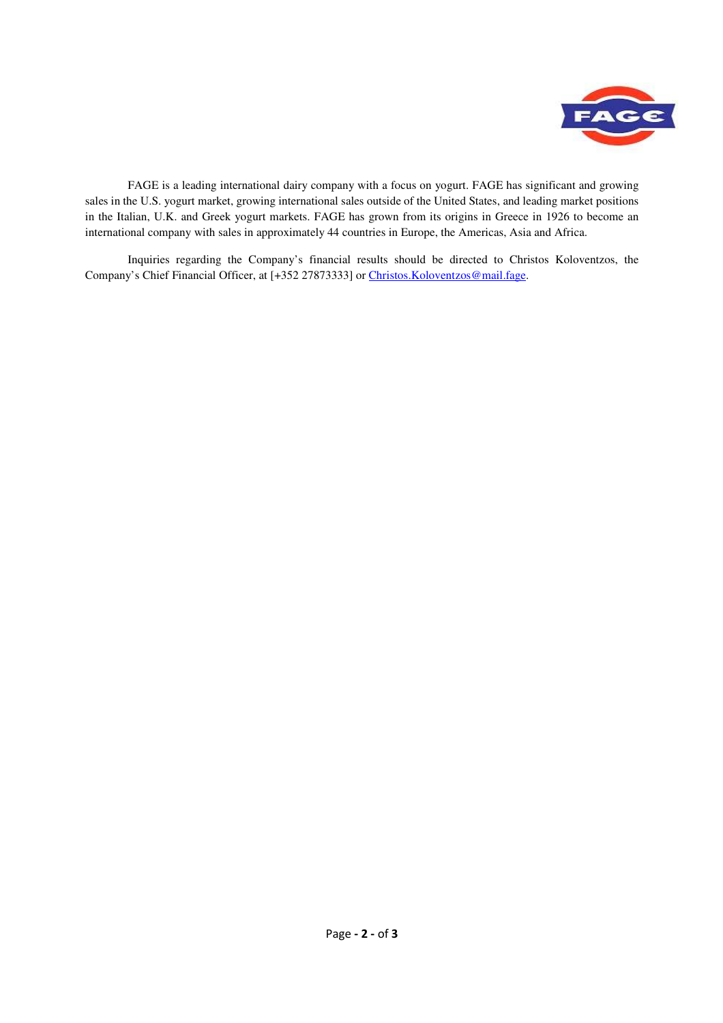

 FAGE is a leading international dairy company with a focus on yogurt. FAGE has significant and growing sales in the U.S. yogurt market, growing international sales outside of the United States, and leading market positions in the Italian, U.K. and Greek yogurt markets. FAGE has grown from its origins in Greece in 1926 to become an international company with sales in approximately 44 countries in Europe, the Americas, Asia and Africa.

 Inquiries regarding the Company's financial results should be directed to Christos Koloventzos, the Company's Chief Financial Officer, at [+352 27873333] or Christos.Koloventzos@mail.fage.